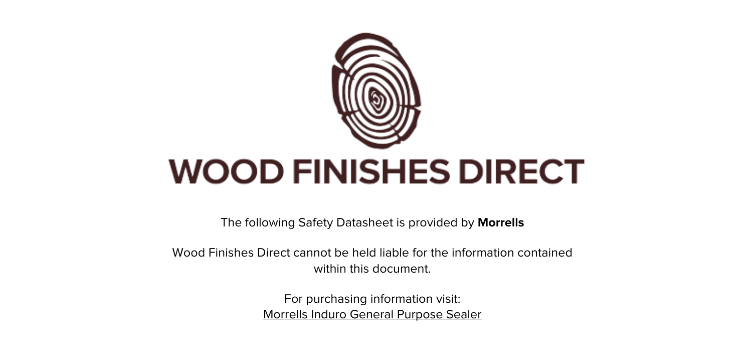

The following Safety Datasheet is provided by **Morrells**

Wood Finishes Direct cannot be held liable for the information contained within this document.

> For purchasing information visit: [Morrells Induro General Purpose Sealer](https://www.wood-finishes-direct.com/product/morrells-induro-general-purpose-sealer)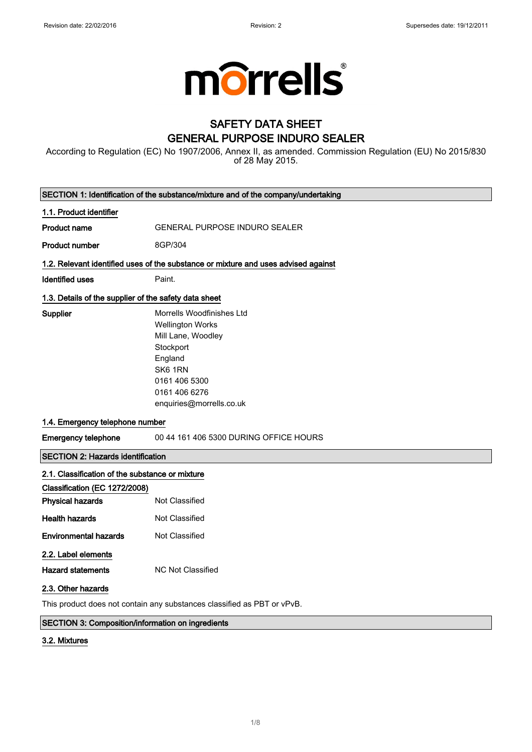

# **SAFETY DATA SHEET GENERAL PURPOSE INDURO SEALER**

According to Regulation (EC) No 1907/2006, Annex II, as amended. Commission Regulation (EU) No 2015/830<br>of 28 May 2015.

|                                                                         | SECTION 1: Identification of the substance/mixture and of the company/undertaking                                                                                           |  |
|-------------------------------------------------------------------------|-----------------------------------------------------------------------------------------------------------------------------------------------------------------------------|--|
| 1.1. Product identifier                                                 |                                                                                                                                                                             |  |
| <b>Product name</b>                                                     | <b>GENERAL PURPOSE INDURO SEALER</b>                                                                                                                                        |  |
| Product number                                                          | 8GP/304                                                                                                                                                                     |  |
|                                                                         | 1.2. Relevant identified uses of the substance or mixture and uses advised against                                                                                          |  |
| <b>Identified uses</b>                                                  | Paint.                                                                                                                                                                      |  |
| 1.3. Details of the supplier of the safety data sheet                   |                                                                                                                                                                             |  |
| Supplier                                                                | Morrells Woodfinishes Ltd<br><b>Wellington Works</b><br>Mill Lane, Woodley<br>Stockport<br>England<br>SK6 1RN<br>0161 406 5300<br>0161 406 6276<br>enquiries@morrells.co.uk |  |
| 1.4. Emergency telephone number                                         |                                                                                                                                                                             |  |
| <b>Emergency telephone</b>                                              | 00 44 161 406 5300 DURING OFFICE HOURS                                                                                                                                      |  |
| <b>SECTION 2: Hazards identification</b>                                |                                                                                                                                                                             |  |
| 2.1. Classification of the substance or mixture                         |                                                                                                                                                                             |  |
| Classification (EC 1272/2008)                                           |                                                                                                                                                                             |  |
| <b>Physical hazards</b>                                                 | Not Classified                                                                                                                                                              |  |
| <b>Health hazards</b>                                                   | Not Classified                                                                                                                                                              |  |
| <b>Environmental hazards</b>                                            | Not Classified                                                                                                                                                              |  |
| 2.2. Label elements<br><b>Hazard statements</b><br>2.3. Other hazards   | <b>NC Not Classified</b>                                                                                                                                                    |  |
| This product does not contain any substances classified as PBT or vPvB. |                                                                                                                                                                             |  |

### SECTION 3: Composition/information on ingredients

### 3.2. Mixtures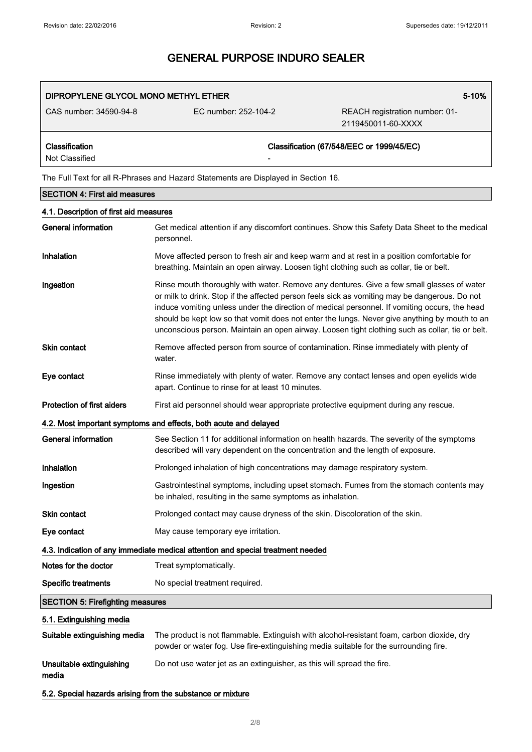| DIPROPYLENE GLYCOL MONO METHYL ETHER |                          | 5-10%                                                |  |
|--------------------------------------|--------------------------|------------------------------------------------------|--|
| CAS number: 34590-94-8               | FC number: 252-104-2     | REACH registration number: 01-<br>2119450011-60-XXXX |  |
| Classification<br>Not Classified     | $\overline{\phantom{0}}$ | Classification (67/548/EEC or 1999/45/EC)            |  |

The Full Text for all R-Phrases and Hazard Statements are Displayed in Section 16.

| <b>SECTION 4: First aid measures</b>                       |                                                                                                                                                                                                                                                                                                                                                                                                                                                                                                 |
|------------------------------------------------------------|-------------------------------------------------------------------------------------------------------------------------------------------------------------------------------------------------------------------------------------------------------------------------------------------------------------------------------------------------------------------------------------------------------------------------------------------------------------------------------------------------|
| 4.1. Description of first aid measures                     |                                                                                                                                                                                                                                                                                                                                                                                                                                                                                                 |
| <b>General information</b>                                 | Get medical attention if any discomfort continues. Show this Safety Data Sheet to the medical<br>personnel.                                                                                                                                                                                                                                                                                                                                                                                     |
| Inhalation                                                 | Move affected person to fresh air and keep warm and at rest in a position comfortable for<br>breathing. Maintain an open airway. Loosen tight clothing such as collar, tie or belt.                                                                                                                                                                                                                                                                                                             |
| Ingestion                                                  | Rinse mouth thoroughly with water. Remove any dentures. Give a few small glasses of water<br>or milk to drink. Stop if the affected person feels sick as vomiting may be dangerous. Do not<br>induce vomiting unless under the direction of medical personnel. If vomiting occurs, the head<br>should be kept low so that vomit does not enter the lungs. Never give anything by mouth to an<br>unconscious person. Maintain an open airway. Loosen tight clothing such as collar, tie or belt. |
| <b>Skin contact</b>                                        | Remove affected person from source of contamination. Rinse immediately with plenty of<br>water.                                                                                                                                                                                                                                                                                                                                                                                                 |
| Eye contact                                                | Rinse immediately with plenty of water. Remove any contact lenses and open eyelids wide<br>apart. Continue to rinse for at least 10 minutes.                                                                                                                                                                                                                                                                                                                                                    |
| <b>Protection of first aiders</b>                          | First aid personnel should wear appropriate protective equipment during any rescue.                                                                                                                                                                                                                                                                                                                                                                                                             |
|                                                            | 4.2. Most important symptoms and effects, both acute and delayed                                                                                                                                                                                                                                                                                                                                                                                                                                |
| <b>General information</b>                                 | See Section 11 for additional information on health hazards. The severity of the symptoms<br>described will vary dependent on the concentration and the length of exposure.                                                                                                                                                                                                                                                                                                                     |
| Inhalation                                                 | Prolonged inhalation of high concentrations may damage respiratory system.                                                                                                                                                                                                                                                                                                                                                                                                                      |
| Ingestion                                                  | Gastrointestinal symptoms, including upset stomach. Fumes from the stomach contents may<br>be inhaled, resulting in the same symptoms as inhalation.                                                                                                                                                                                                                                                                                                                                            |
| Skin contact                                               | Prolonged contact may cause dryness of the skin. Discoloration of the skin.                                                                                                                                                                                                                                                                                                                                                                                                                     |
| Eye contact                                                | May cause temporary eye irritation.                                                                                                                                                                                                                                                                                                                                                                                                                                                             |
|                                                            | 4.3. Indication of any immediate medical attention and special treatment needed                                                                                                                                                                                                                                                                                                                                                                                                                 |
| Notes for the doctor                                       | Treat symptomatically.                                                                                                                                                                                                                                                                                                                                                                                                                                                                          |
| <b>Specific treatments</b>                                 | No special treatment required.                                                                                                                                                                                                                                                                                                                                                                                                                                                                  |
| <b>SECTION 5: Firefighting measures</b>                    |                                                                                                                                                                                                                                                                                                                                                                                                                                                                                                 |
| 5.1. Extinguishing media                                   |                                                                                                                                                                                                                                                                                                                                                                                                                                                                                                 |
| Suitable extinguishing media                               | The product is not flammable. Extinguish with alcohol-resistant foam, carbon dioxide, dry<br>powder or water fog. Use fire-extinguishing media suitable for the surrounding fire.                                                                                                                                                                                                                                                                                                               |
| Unsuitable extinguishing<br>media                          | Do not use water jet as an extinguisher, as this will spread the fire.                                                                                                                                                                                                                                                                                                                                                                                                                          |
| 5.2. Special hazards arising from the substance or mixture |                                                                                                                                                                                                                                                                                                                                                                                                                                                                                                 |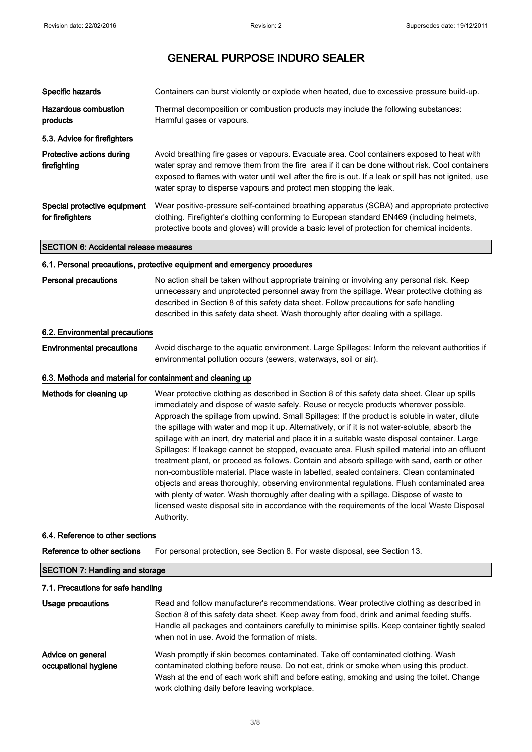| Specific hazards                                 | Containers can burst violently or explode when heated, due to excessive pressure build-up.                                                                                                                                                                                                                                                                                   |
|--------------------------------------------------|------------------------------------------------------------------------------------------------------------------------------------------------------------------------------------------------------------------------------------------------------------------------------------------------------------------------------------------------------------------------------|
| Hazardous combustion<br>products                 | Thermal decomposition or combustion products may include the following substances:<br>Harmful gases or vapours.                                                                                                                                                                                                                                                              |
| 5.3. Advice for firefighters                     |                                                                                                                                                                                                                                                                                                                                                                              |
| Protective actions during<br>firefighting        | Avoid breathing fire gases or vapours. Evacuate area. Cool containers exposed to heat with<br>water spray and remove them from the fire area if it can be done without risk. Cool containers<br>exposed to flames with water until well after the fire is out. If a leak or spill has not ignited, use<br>water spray to disperse vapours and protect men stopping the leak. |
| Special protective equipment<br>for firefighters | Wear positive-pressure self-contained breathing apparatus (SCBA) and appropriate protective<br>clothing. Firefighter's clothing conforming to European standard EN469 (including helmets,<br>protective boots and gloves) will provide a basic level of protection for chemical incidents.                                                                                   |

#### **SECTION 6: Accidental release measures**

#### 6.1. Personal precautions, protective equipment and emergency procedures

**Personal precautions** No action shall be taken without appropriate training or involving any personal risk. Keep unnecessary and unprotected personnel away from the spillage. Wear protective clothing as described in Section 8 of this safety data sheet. Follow precautions for safe handling described in this safety data sheet. Wash thoroughly after dealing with a spillage.

#### 6.2. Environmental precautions

**Environmental precautions** Avoid discharge to the aquatic environment. Large Spillages: Inform the relevant authorities if environmental pollution occurs (sewers, waterways, soil or air).

#### 6.3. Methods and material for containment and cleaning up

Methods for cleaning up Wear protective clothing as described in Section 8 of this safety data sheet. Clear up spills immediately and dispose of waste safely. Reuse or recycle products wherever possible. Approach the spillage from upwind. Small Spillages: If the product is soluble in water, dilute the spillage with water and mop it up. Alternatively, or if it is not water-soluble, absorb the spillage with an inert, dry material and place it in a suitable waste disposal container. Large Spillages: If leakage cannot be stopped, evacuate area. Flush spilled material into an effluent treatment plant, or proceed as follows. Contain and absorb spillage with sand, earth or other non-combustible material. Place waste in labelled, sealed containers. Clean contaminated objects and areas thoroughly, observing environmental regulations. Flush contaminated area with plenty of water. Wash thoroughly after dealing with a spillage. Dispose of waste to licensed waste disposal site in accordance with the requirements of the local Waste Disposal Authority.

#### 6.4. Reference to other sections

Reference to other sections For personal protection, see Section 8. For waste disposal, see Section 13.

### **SECTION 7: Handling and storage**

### 7.1. Precautions for safe handling

| Usage precautions                         | Read and follow manufacturer's recommendations. Wear protective clothing as described in<br>Section 8 of this safety data sheet. Keep away from food, drink and animal feeding stuffs.<br>Handle all packages and containers carefully to minimise spills. Keep container tightly sealed<br>when not in use. Avoid the formation of mists. |
|-------------------------------------------|--------------------------------------------------------------------------------------------------------------------------------------------------------------------------------------------------------------------------------------------------------------------------------------------------------------------------------------------|
| Advice on general<br>occupational hygiene | Wash promptly if skin becomes contaminated. Take off contaminated clothing. Wash<br>contaminated clothing before reuse. Do not eat, drink or smoke when using this product.<br>Wash at the end of each work shift and before eating, smoking and using the toilet. Change<br>work clothing daily before leaving workplace.                 |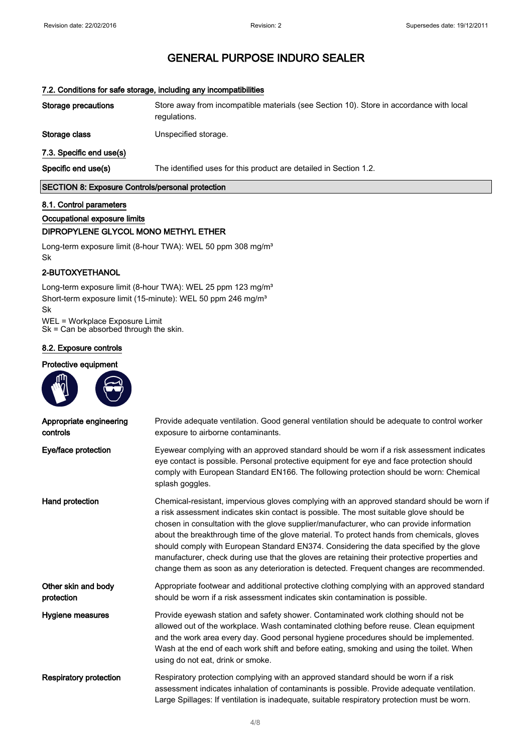### 7.2. Conditions for safe storage, including any incompatibilities **Storage precautions** Store away from incompatible materials (see Section 10). Store in accordance with local regulations. Storage class Unspecified storage. 7.3. Specific end use(s) Specific end use(s) The identified uses for this product are detailed in Section 1.2. SECTION 8: Exposure Controls/personal protection

#### 8.1. Control parameters

Occupational exposure limits

### DIPROPYLENE GLYCOL MONO METHYL ETHER

Long-term exposure limit (8-hour TWA): WEL 50 ppm 308 mg/m<sup>3</sup> Sk

### 2-BUTOXYETHANOL

Long-term exposure limit (8-hour TWA): WEL 25 ppm 123 mg/m<sup>3</sup> Short-term exposure limit (15-minute): WEL 50 ppm 246 mg/m<sup>3</sup> Sk

WEL = Workplace Exposure Limit  $Sk = Can be absorbed through the skin.$ 

#### 8.2. Exposure controls

#### Protective equipment



| Appropriate engineering<br>controls | Provide adequate ventilation. Good general ventilation should be adequate to control worker<br>exposure to airborne contaminants.                                                                                                                                                                                                                                                                                                                                                                                                                                                                                                                                      |
|-------------------------------------|------------------------------------------------------------------------------------------------------------------------------------------------------------------------------------------------------------------------------------------------------------------------------------------------------------------------------------------------------------------------------------------------------------------------------------------------------------------------------------------------------------------------------------------------------------------------------------------------------------------------------------------------------------------------|
| Eye/face protection                 | Eyewear complying with an approved standard should be worn if a risk assessment indicates<br>eye contact is possible. Personal protective equipment for eye and face protection should<br>comply with European Standard EN166. The following protection should be worn: Chemical<br>splash goggles.                                                                                                                                                                                                                                                                                                                                                                    |
| Hand protection                     | Chemical-resistant, impervious gloves complying with an approved standard should be worn if<br>a risk assessment indicates skin contact is possible. The most suitable glove should be<br>chosen in consultation with the glove supplier/manufacturer, who can provide information<br>about the breakthrough time of the glove material. To protect hands from chemicals, gloves<br>should comply with European Standard EN374. Considering the data specified by the glove<br>manufacturer, check during use that the gloves are retaining their protective properties and<br>change them as soon as any deterioration is detected. Frequent changes are recommended. |
| Other skin and body<br>protection   | Appropriate footwear and additional protective clothing complying with an approved standard<br>should be worn if a risk assessment indicates skin contamination is possible.                                                                                                                                                                                                                                                                                                                                                                                                                                                                                           |
| Hygiene measures                    | Provide eyewash station and safety shower. Contaminated work clothing should not be<br>allowed out of the workplace. Wash contaminated clothing before reuse. Clean equipment<br>and the work area every day. Good personal hygiene procedures should be implemented.<br>Wash at the end of each work shift and before eating, smoking and using the toilet. When<br>using do not eat, drink or smoke.                                                                                                                                                                                                                                                                 |
| <b>Respiratory protection</b>       | Respiratory protection complying with an approved standard should be worn if a risk<br>assessment indicates inhalation of contaminants is possible. Provide adequate ventilation.<br>Large Spillages: If ventilation is inadequate, suitable respiratory protection must be worn.                                                                                                                                                                                                                                                                                                                                                                                      |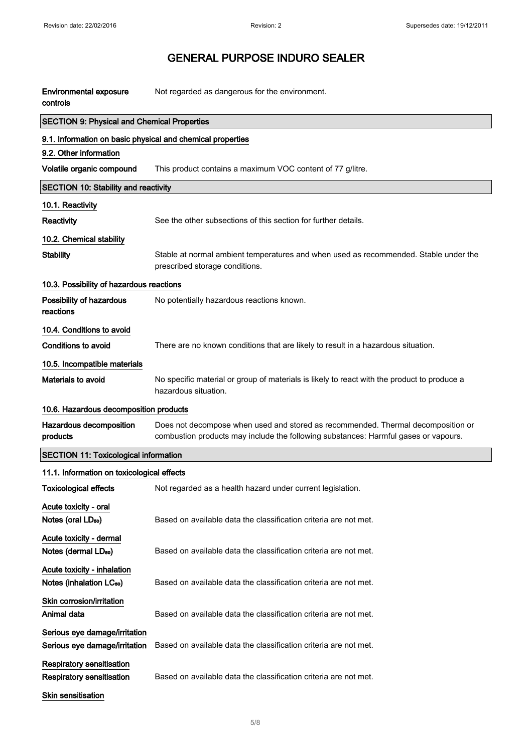| <b>Environmental exposure</b><br>controls                            | Not regarded as dangerous for the environment.                                                                                                                          |
|----------------------------------------------------------------------|-------------------------------------------------------------------------------------------------------------------------------------------------------------------------|
| <b>SECTION 9: Physical and Chemical Properties</b>                   |                                                                                                                                                                         |
| 9.1. Information on basic physical and chemical properties           |                                                                                                                                                                         |
| 9.2. Other information                                               |                                                                                                                                                                         |
| Volatile organic compound                                            | This product contains a maximum VOC content of 77 g/litre.                                                                                                              |
| <b>SECTION 10: Stability and reactivity</b>                          |                                                                                                                                                                         |
| 10.1. Reactivity                                                     |                                                                                                                                                                         |
| Reactivity                                                           | See the other subsections of this section for further details.                                                                                                          |
| 10.2. Chemical stability                                             |                                                                                                                                                                         |
| <b>Stability</b>                                                     | Stable at normal ambient temperatures and when used as recommended. Stable under the<br>prescribed storage conditions.                                                  |
| 10.3. Possibility of hazardous reactions                             |                                                                                                                                                                         |
| Possibility of hazardous<br>reactions                                | No potentially hazardous reactions known.                                                                                                                               |
| 10.4. Conditions to avoid                                            |                                                                                                                                                                         |
| <b>Conditions to avoid</b>                                           | There are no known conditions that are likely to result in a hazardous situation.                                                                                       |
| 10.5. Incompatible materials                                         |                                                                                                                                                                         |
| <b>Materials to avoid</b>                                            | No specific material or group of materials is likely to react with the product to produce a<br>hazardous situation.                                                     |
| 10.6. Hazardous decomposition products                               |                                                                                                                                                                         |
| Hazardous decomposition<br>products                                  | Does not decompose when used and stored as recommended. Thermal decomposition or<br>combustion products may include the following substances: Harmful gases or vapours. |
| <b>SECTION 11: Toxicological information</b>                         |                                                                                                                                                                         |
| 11.1. Information on toxicological effects                           |                                                                                                                                                                         |
| Toxicological effects                                                | Not regarded as a health hazard under current legislation.                                                                                                              |
| Acute toxicity - oral<br>Notes (oral LD <sub>50</sub> )              | Based on available data the classification criteria are not met.                                                                                                        |
| Acute toxicity - dermal<br>Notes (dermal LD <sub>50</sub> )          | Based on available data the classification criteria are not met.                                                                                                        |
| Acute toxicity - inhalation<br>Notes (inhalation LC <sub>50</sub> )  | Based on available data the classification criteria are not met.                                                                                                        |
| Skin corrosion/irritation<br>Animal data                             | Based on available data the classification criteria are not met.                                                                                                        |
| Serious eye damage/irritation<br>Serious eye damage/irritation       | Based on available data the classification criteria are not met.                                                                                                        |
| <b>Respiratory sensitisation</b><br><b>Respiratory sensitisation</b> | Based on available data the classification criteria are not met.                                                                                                        |
|                                                                      |                                                                                                                                                                         |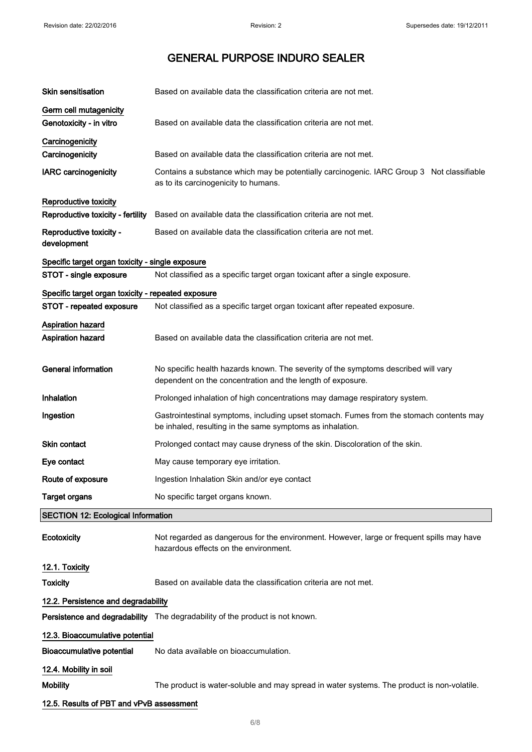| <b>Skin sensitisation</b>                            | Based on available data the classification criteria are not met.                                                                                     |
|------------------------------------------------------|------------------------------------------------------------------------------------------------------------------------------------------------------|
| Germ cell mutagenicity                               |                                                                                                                                                      |
| Genotoxicity - in vitro                              | Based on available data the classification criteria are not met.                                                                                     |
| Carcinogenicity                                      |                                                                                                                                                      |
| Carcinogenicity                                      | Based on available data the classification criteria are not met.                                                                                     |
| <b>IARC</b> carcinogenicity                          | Contains a substance which may be potentially carcinogenic. IARC Group 3 Not classifiable<br>as to its carcinogenicity to humans.                    |
| Reproductive toxicity                                |                                                                                                                                                      |
| Reproductive toxicity - fertility                    | Based on available data the classification criteria are not met.                                                                                     |
| Reproductive toxicity -<br>development               | Based on available data the classification criteria are not met.                                                                                     |
| Specific target organ toxicity - single exposure     |                                                                                                                                                      |
| STOT - single exposure                               | Not classified as a specific target organ toxicant after a single exposure.                                                                          |
| Specific target organ toxicity - repeated exposure   |                                                                                                                                                      |
| STOT - repeated exposure                             | Not classified as a specific target organ toxicant after repeated exposure.                                                                          |
| <b>Aspiration hazard</b><br><b>Aspiration hazard</b> | Based on available data the classification criteria are not met.                                                                                     |
| <b>General information</b>                           | No specific health hazards known. The severity of the symptoms described will vary<br>dependent on the concentration and the length of exposure.     |
| Inhalation                                           | Prolonged inhalation of high concentrations may damage respiratory system.                                                                           |
| Ingestion                                            | Gastrointestinal symptoms, including upset stomach. Fumes from the stomach contents may<br>be inhaled, resulting in the same symptoms as inhalation. |
| <b>Skin contact</b>                                  | Prolonged contact may cause dryness of the skin. Discoloration of the skin.                                                                          |
| Eye contact                                          | May cause temporary eye irritation.                                                                                                                  |
| Route of exposure                                    | Ingestion Inhalation Skin and/or eye contact                                                                                                         |
| <b>Target organs</b>                                 | No specific target organs known.                                                                                                                     |
| <b>SECTION 12: Ecological Information</b>            |                                                                                                                                                      |
| Ecotoxicity                                          | Not regarded as dangerous for the environment. However, large or frequent spills may have<br>hazardous effects on the environment.                   |
| 12.1. Toxicity                                       |                                                                                                                                                      |
| Toxicity                                             | Based on available data the classification criteria are not met.                                                                                     |
| 12.2. Persistence and degradability                  |                                                                                                                                                      |
|                                                      | Persistence and degradability The degradability of the product is not known.                                                                         |
| 12.3. Bioaccumulative potential                      |                                                                                                                                                      |
| <b>Bioaccumulative potential</b>                     | No data available on bioaccumulation.                                                                                                                |
| 12.4. Mobility in soil                               |                                                                                                                                                      |
| <b>Mobility</b>                                      | The product is water-soluble and may spread in water systems. The product is non-volatile.                                                           |
| 12.5. Results of PBT and vPvB assessment             |                                                                                                                                                      |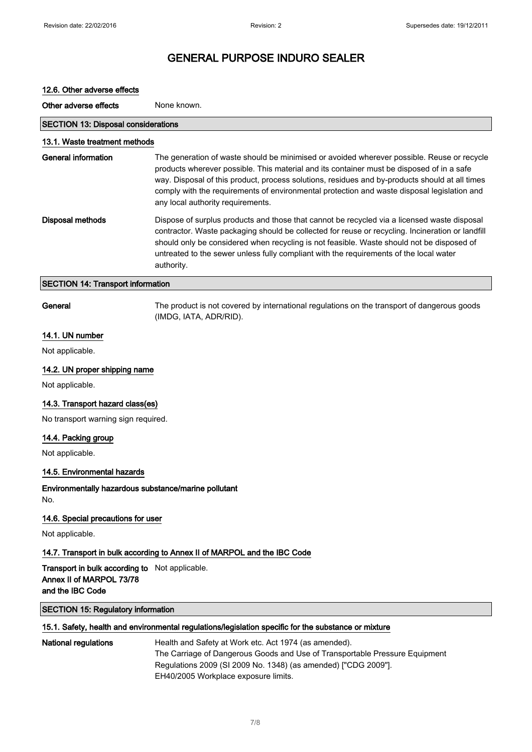| 12.6. Other adverse effects                                                                    |                                                                                                                                                                                                                                                                                                                                                                                                                               |
|------------------------------------------------------------------------------------------------|-------------------------------------------------------------------------------------------------------------------------------------------------------------------------------------------------------------------------------------------------------------------------------------------------------------------------------------------------------------------------------------------------------------------------------|
| Other adverse effects                                                                          | None known.                                                                                                                                                                                                                                                                                                                                                                                                                   |
| <b>SECTION 13: Disposal considerations</b>                                                     |                                                                                                                                                                                                                                                                                                                                                                                                                               |
| 13.1. Waste treatment methods                                                                  |                                                                                                                                                                                                                                                                                                                                                                                                                               |
| <b>General information</b>                                                                     | The generation of waste should be minimised or avoided wherever possible. Reuse or recycle<br>products wherever possible. This material and its container must be disposed of in a safe<br>way. Disposal of this product, process solutions, residues and by-products should at all times<br>comply with the requirements of environmental protection and waste disposal legislation and<br>any local authority requirements. |
| <b>Disposal methods</b>                                                                        | Dispose of surplus products and those that cannot be recycled via a licensed waste disposal<br>contractor. Waste packaging should be collected for reuse or recycling. Incineration or landfill<br>should only be considered when recycling is not feasible. Waste should not be disposed of<br>untreated to the sewer unless fully compliant with the requirements of the local water<br>authority.                          |
| <b>SECTION 14: Transport information</b>                                                       |                                                                                                                                                                                                                                                                                                                                                                                                                               |
| General                                                                                        | The product is not covered by international regulations on the transport of dangerous goods<br>(IMDG, IATA, ADR/RID).                                                                                                                                                                                                                                                                                                         |
| 14.1. UN number                                                                                |                                                                                                                                                                                                                                                                                                                                                                                                                               |
| Not applicable.                                                                                |                                                                                                                                                                                                                                                                                                                                                                                                                               |
| 14.2. UN proper shipping name                                                                  |                                                                                                                                                                                                                                                                                                                                                                                                                               |
| Not applicable.                                                                                |                                                                                                                                                                                                                                                                                                                                                                                                                               |
| 14.3. Transport hazard class(es)                                                               |                                                                                                                                                                                                                                                                                                                                                                                                                               |
| No transport warning sign required.                                                            |                                                                                                                                                                                                                                                                                                                                                                                                                               |
| 14.4. Packing group                                                                            |                                                                                                                                                                                                                                                                                                                                                                                                                               |
| Not applicable.                                                                                |                                                                                                                                                                                                                                                                                                                                                                                                                               |
| 14.5. Environmental hazards                                                                    |                                                                                                                                                                                                                                                                                                                                                                                                                               |
| Environmentally hazardous substance/marine pollutant<br>No.                                    |                                                                                                                                                                                                                                                                                                                                                                                                                               |
| 14.6. Special precautions for user                                                             |                                                                                                                                                                                                                                                                                                                                                                                                                               |
| Not applicable.                                                                                |                                                                                                                                                                                                                                                                                                                                                                                                                               |
|                                                                                                | 14.7. Transport in bulk according to Annex II of MARPOL and the IBC Code                                                                                                                                                                                                                                                                                                                                                      |
| Transport in bulk according to Not applicable.<br>Annex II of MARPOL 73/78<br>and the IBC Code |                                                                                                                                                                                                                                                                                                                                                                                                                               |
| <b>SECTION 15: Regulatory information</b>                                                      |                                                                                                                                                                                                                                                                                                                                                                                                                               |
|                                                                                                | 15.1. Safety, health and environmental regulations/legislation specific for the substance or mixture                                                                                                                                                                                                                                                                                                                          |
| <b>National regulations</b>                                                                    | Health and Safety at Work etc. Act 1974 (as amended).<br>The Carriage of Dangerous Goods and Use of Transportable Pressure Equipment<br>Regulations 2009 (SI 2009 No. 1348) (as amended) ["CDG 2009"].<br>EH40/2005 Workplace exposure limits.                                                                                                                                                                                |